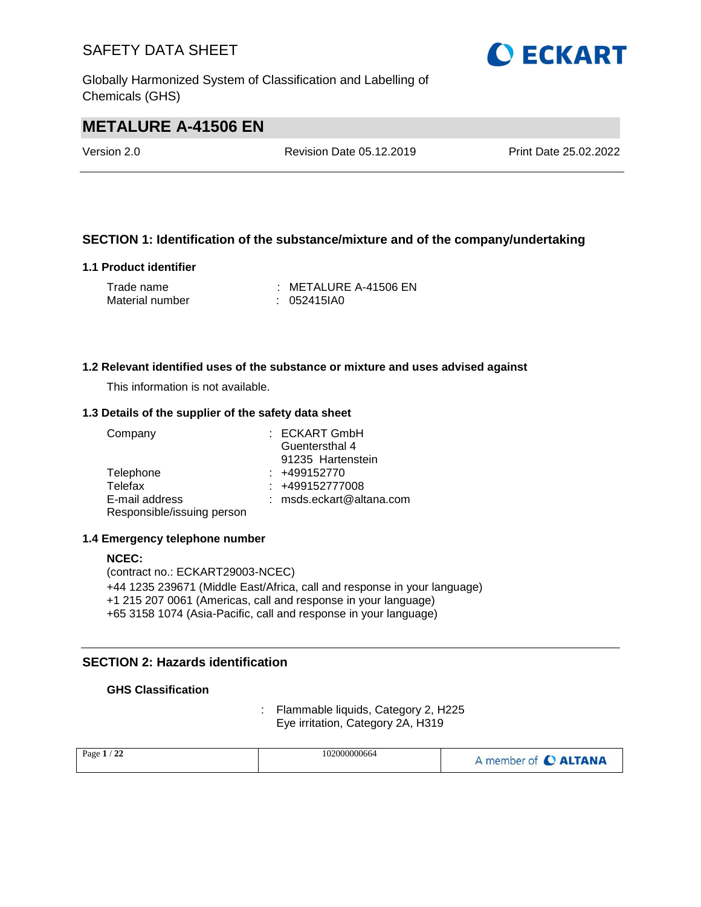Globally Harmonized System of Classification and Labelling of Chemicals (GHS)

## **O ECKART**

## **METALURE A-41506 EN**

Version 2.0 Revision Date 05.12.2019 Print Date 25.02.2022

#### **SECTION 1: Identification of the substance/mixture and of the company/undertaking**

#### **1.1 Product identifier**

| Trade name      | : METALURE A-41506 EN |
|-----------------|-----------------------|
| Material number | $: 052415$ IA0        |

#### **1.2 Relevant identified uses of the substance or mixture and uses advised against**

This information is not available.

#### **1.3 Details of the supplier of the safety data sheet**

| Company                    | : ECKART GmbH              |
|----------------------------|----------------------------|
|                            | Guentersthal 4             |
|                            | 91235 Hartenstein          |
| Telephone                  | $: +499152770$             |
| Telefax                    | $: +499152777008$          |
| E-mail address             | $:$ msds.eckart@altana.com |
| Responsible/issuing person |                            |

#### **1.4 Emergency telephone number**

#### **NCEC:** (contract no.: ECKART29003-NCEC) +44 1235 239671 (Middle East/Africa, call and response in your language) +1 215 207 0061 (Americas, call and response in your language) +65 3158 1074 (Asia-Pacific, call and response in your language)

#### **SECTION 2: Hazards identification**

#### **GHS Classification**

: Flammable liquids, Category 2, H225 Eye irritation, Category 2A, H319

| $^{\prime}$ 22<br>Page $1/$ | 102000000664 | A member of C ALTANA |
|-----------------------------|--------------|----------------------|
|-----------------------------|--------------|----------------------|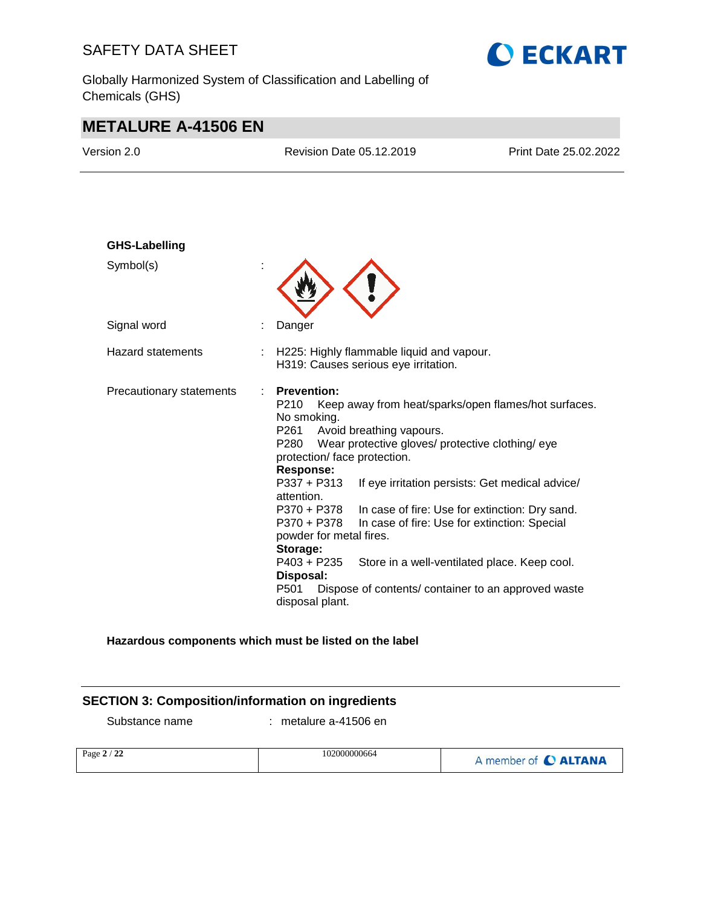Globally Harmonized System of Classification and Labelling of Chemicals (GHS)



## **METALURE A-41506 EN**

| Version 2.0              | <b>Revision Date 05.12.2019</b>                                                                                                                                                                                                                                                                                                    | Print Date 25.02.2022                                                                                                                                                                                                                                     |
|--------------------------|------------------------------------------------------------------------------------------------------------------------------------------------------------------------------------------------------------------------------------------------------------------------------------------------------------------------------------|-----------------------------------------------------------------------------------------------------------------------------------------------------------------------------------------------------------------------------------------------------------|
| <b>GHS-Labelling</b>     |                                                                                                                                                                                                                                                                                                                                    |                                                                                                                                                                                                                                                           |
| Symbol(s)                |                                                                                                                                                                                                                                                                                                                                    |                                                                                                                                                                                                                                                           |
| Signal word              | Danger                                                                                                                                                                                                                                                                                                                             |                                                                                                                                                                                                                                                           |
| <b>Hazard statements</b> | H225: Highly flammable liquid and vapour.<br>H319: Causes serious eye irritation.                                                                                                                                                                                                                                                  |                                                                                                                                                                                                                                                           |
| Precautionary statements | <b>Prevention:</b><br>÷<br>P210<br>No smoking.<br>P261<br>Avoid breathing vapours.<br>P280<br>Wear protective gloves/ protective clothing/ eye<br>protection/ face protection.<br><b>Response:</b><br>$P337 + P313$<br>attention.<br>P370 + P378<br>P370 + P378<br>powder for metal fires.<br>Storage:<br>P403 + P235<br>Disposal: | Keep away from heat/sparks/open flames/hot surfaces.<br>If eye irritation persists: Get medical advice/<br>In case of fire: Use for extinction: Dry sand.<br>In case of fire: Use for extinction: Special<br>Store in a well-ventilated place. Keep cool. |
|                          | P <sub>501</sub><br>disposal plant.                                                                                                                                                                                                                                                                                                | Dispose of contents/ container to an approved waste                                                                                                                                                                                                       |

#### **Hazardous components which must be listed on the label**

#### **SECTION 3: Composition/information on ingredients**

Substance name : metalure a-41506 en

| Page 2 / 22 | 102000000664 | A member of C ALTANA |
|-------------|--------------|----------------------|
|             |              |                      |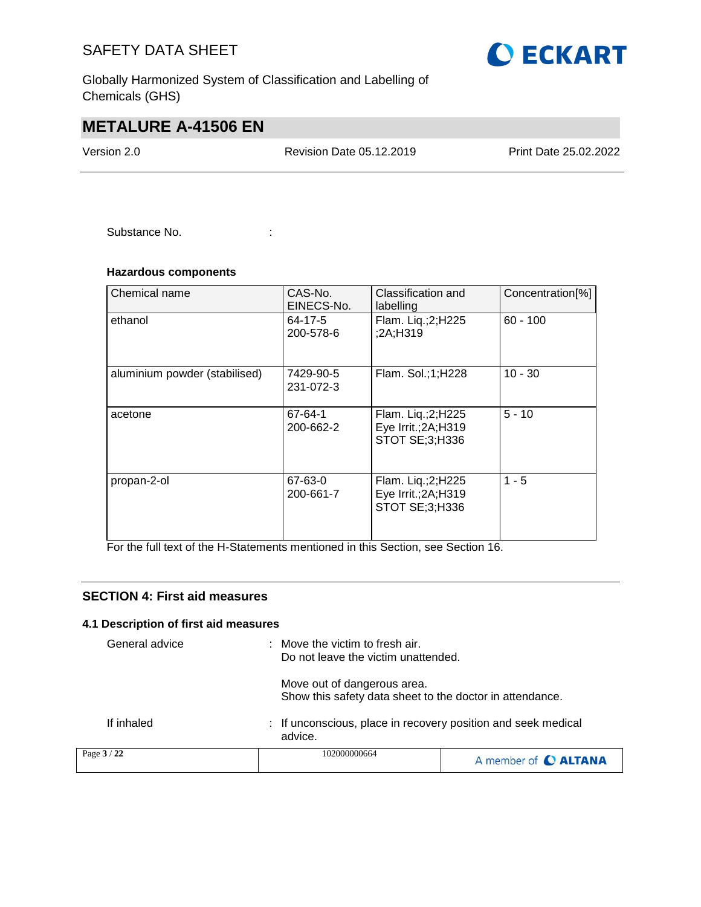Globally Harmonized System of Classification and Labelling of Chemicals (GHS)

## **METALURE A-41506 EN**

Version 2.0 Revision Date 05.12.2019 Print Date 25.02.2022

Substance No. **:**  $\qquad \qquad$  :

#### **Hazardous components**

| Chemical name                 | CAS-No.<br>EINECS-No.  | Classification and<br>labelling                             | Concentration <sup>[%]</sup> |
|-------------------------------|------------------------|-------------------------------------------------------------|------------------------------|
| ethanol                       | 64-17-5<br>200-578-6   | Flam. Lig.; 2; H225<br>;2A;H319                             | $60 - 100$                   |
| aluminium powder (stabilised) | 7429-90-5<br>231-072-3 | Flam. Sol.;1;H228                                           | $10 - 30$                    |
| acetone                       | 67-64-1<br>200-662-2   | Flam. Liq.;2;H225<br>Eye Irrit.; 2A; H319<br>STOT SE;3;H336 | $5 - 10$                     |
| propan-2-ol                   | 67-63-0<br>200-661-7   | Flam. Liq.;2;H225<br>Eye Irrit.; 2A; H319<br>STOT SE;3;H336 | $1 - 5$                      |

For the full text of the H-Statements mentioned in this Section, see Section 16.

#### **SECTION 4: First aid measures**

#### **4.1 Description of first aid measures**

| General advice | Move the victim to fresh air.<br>Do not leave the victim unattended.                    |                      |
|----------------|-----------------------------------------------------------------------------------------|----------------------|
|                | Move out of dangerous area.<br>Show this safety data sheet to the doctor in attendance. |                      |
| If inhaled     | : If unconscious, place in recovery position and seek medical<br>advice.                |                      |
| Page 3 / 22    | 102000000664                                                                            | A member of C ALTANA |

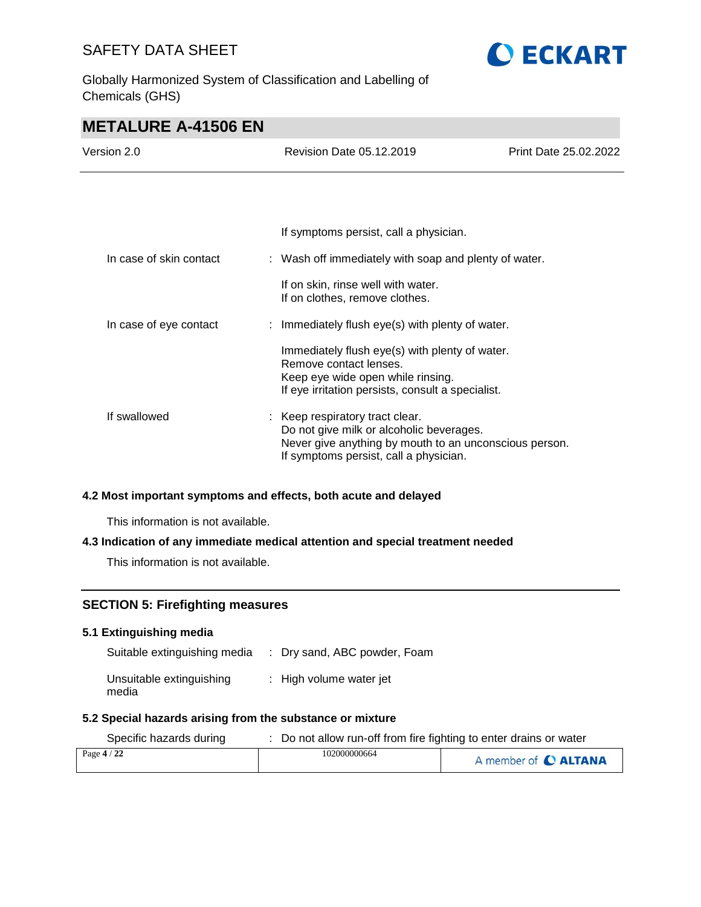Globally Harmonized System of Classification and Labelling of Chemicals (GHS)



## **METALURE A-41506 EN**

| Version 2.0             |  | <b>Revision Date 05.12.2019</b>                                                                                                                                                 | Print Date 25.02.2022 |
|-------------------------|--|---------------------------------------------------------------------------------------------------------------------------------------------------------------------------------|-----------------------|
|                         |  |                                                                                                                                                                                 |                       |
|                         |  | If symptoms persist, call a physician.                                                                                                                                          |                       |
| In case of skin contact |  | : Wash off immediately with soap and plenty of water.                                                                                                                           |                       |
|                         |  | If on skin, rinse well with water.<br>If on clothes, remove clothes.                                                                                                            |                       |
| In case of eye contact  |  | : Immediately flush eye(s) with plenty of water.                                                                                                                                |                       |
|                         |  | Immediately flush eye(s) with plenty of water.<br>Remove contact lenses.<br>Keep eye wide open while rinsing.<br>If eye irritation persists, consult a specialist.              |                       |
| If swallowed            |  | : Keep respiratory tract clear.<br>Do not give milk or alcoholic beverages.<br>Never give anything by mouth to an unconscious person.<br>If symptoms persist, call a physician. |                       |

#### **4.2 Most important symptoms and effects, both acute and delayed**

This information is not available.

#### **4.3 Indication of any immediate medical attention and special treatment needed**

This information is not available.

#### **SECTION 5: Firefighting measures**

#### **5.1 Extinguishing media**

| Suitable extinguishing media      | : Dry sand, ABC powder, Foam |
|-----------------------------------|------------------------------|
| Unsuitable extinguishing<br>media | : High volume water jet      |

## **5.2 Special hazards arising from the substance or mixture**

| Specific hazards during | Do not allow run-off from fire fighting to enter drains or water |                      |
|-------------------------|------------------------------------------------------------------|----------------------|
| Page $4/22$             | 102000000664                                                     | A member of C ALTANA |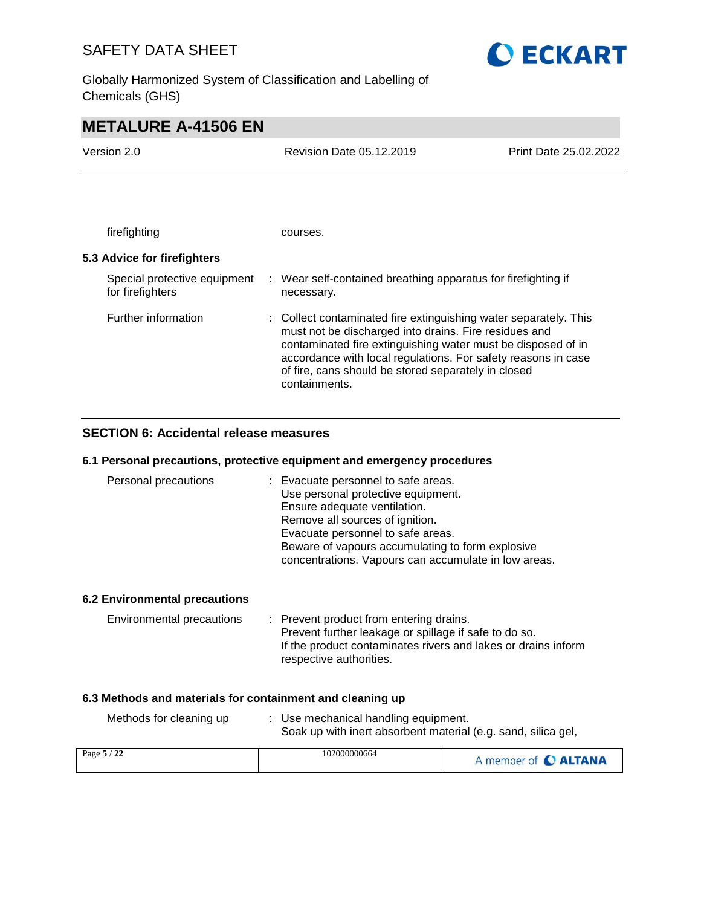Globally Harmonized System of Classification and Labelling of Chemicals (GHS)



## **METALURE A-41506 EN**

| Version 2.0                                      | Revision Date 05.12.2019                                                                                                                                                                                                                                                                                                           | Print Date 25.02.2022 |
|--------------------------------------------------|------------------------------------------------------------------------------------------------------------------------------------------------------------------------------------------------------------------------------------------------------------------------------------------------------------------------------------|-----------------------|
|                                                  |                                                                                                                                                                                                                                                                                                                                    |                       |
| firefighting                                     | courses.                                                                                                                                                                                                                                                                                                                           |                       |
| 5.3 Advice for firefighters                      |                                                                                                                                                                                                                                                                                                                                    |                       |
| Special protective equipment<br>for firefighters | : Wear self-contained breathing apparatus for firefighting if<br>necessary.                                                                                                                                                                                                                                                        |                       |
| Further information                              | : Collect contaminated fire extinguishing water separately. This<br>must not be discharged into drains. Fire residues and<br>contaminated fire extinguishing water must be disposed of in<br>accordance with local regulations. For safety reasons in case<br>of fire, cans should be stored separately in closed<br>containments. |                       |

#### **SECTION 6: Accidental release measures**

#### **6.1 Personal precautions, protective equipment and emergency procedures**

| Personal precautions | : Evacuate personnel to safe areas.                  |
|----------------------|------------------------------------------------------|
|                      | Use personal protective equipment.                   |
|                      | Ensure adequate ventilation.                         |
|                      | Remove all sources of ignition.                      |
|                      | Evacuate personnel to safe areas.                    |
|                      | Beware of vapours accumulating to form explosive     |
|                      | concentrations. Vapours can accumulate in low areas. |

#### **6.2 Environmental precautions**

| <b>Environmental precautions</b> |  | : Prevent product from entering drains.                       |
|----------------------------------|--|---------------------------------------------------------------|
|                                  |  | Prevent further leakage or spillage if safe to do so.         |
|                                  |  | If the product contaminates rivers and lakes or drains inform |
|                                  |  | respective authorities.                                       |

#### **6.3 Methods and materials for containment and cleaning up**

| Methods for cleaning up | : Use mechanical handling equipment.<br>Soak up with inert absorbent material (e.g. sand, silica gel, |
|-------------------------|-------------------------------------------------------------------------------------------------------|
|                         |                                                                                                       |

| Page 5 / 22 | 102000000664 | A member of C ALTANA |
|-------------|--------------|----------------------|
|-------------|--------------|----------------------|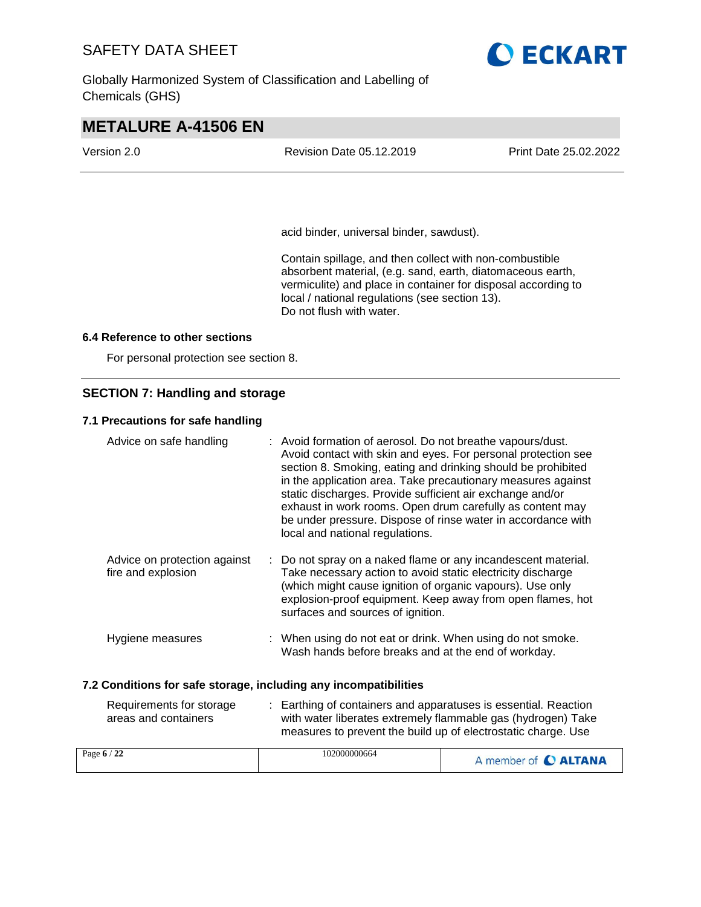Globally Harmonized System of Classification and Labelling of Chemicals (GHS)



## **METALURE A-41506 EN**

| Version 2.0 | <b>Revision Date 05.12.2019</b> | Print Date 25.02.2022 |
|-------------|---------------------------------|-----------------------|
|             |                                 |                       |

acid binder, universal binder, sawdust).

Contain spillage, and then collect with non-combustible absorbent material, (e.g. sand, earth, diatomaceous earth, vermiculite) and place in container for disposal according to local / national regulations (see section 13). Do not flush with water.

#### **6.4 Reference to other sections**

For personal protection see section 8.

#### **SECTION 7: Handling and storage**

#### **7.1 Precautions for safe handling**

| Advice on safe handling                                          | : Avoid formation of aerosol. Do not breathe vapours/dust.<br>Avoid contact with skin and eyes. For personal protection see<br>section 8. Smoking, eating and drinking should be prohibited<br>in the application area. Take precautionary measures against<br>static discharges. Provide sufficient air exchange and/or<br>exhaust in work rooms. Open drum carefully as content may<br>be under pressure. Dispose of rinse water in accordance with<br>local and national regulations. |                      |
|------------------------------------------------------------------|------------------------------------------------------------------------------------------------------------------------------------------------------------------------------------------------------------------------------------------------------------------------------------------------------------------------------------------------------------------------------------------------------------------------------------------------------------------------------------------|----------------------|
| Advice on protection against<br>fire and explosion               | : Do not spray on a naked flame or any incandescent material.<br>Take necessary action to avoid static electricity discharge<br>(which might cause ignition of organic vapours). Use only<br>explosion-proof equipment. Keep away from open flames, hot<br>surfaces and sources of ignition.                                                                                                                                                                                             |                      |
| Hygiene measures                                                 | : When using do not eat or drink. When using do not smoke.<br>Wash hands before breaks and at the end of workday.                                                                                                                                                                                                                                                                                                                                                                        |                      |
| 7.2 Conditions for safe storage, including any incompatibilities |                                                                                                                                                                                                                                                                                                                                                                                                                                                                                          |                      |
| Requirements for storage<br>areas and containers                 | : Earthing of containers and apparatuses is essential. Reaction<br>with water liberates extremely flammable gas (hydrogen) Take<br>measures to prevent the build up of electrostatic charge. Use                                                                                                                                                                                                                                                                                         |                      |
| Page 6 / 22                                                      | 102000000664                                                                                                                                                                                                                                                                                                                                                                                                                                                                             | A member of C ALTANA |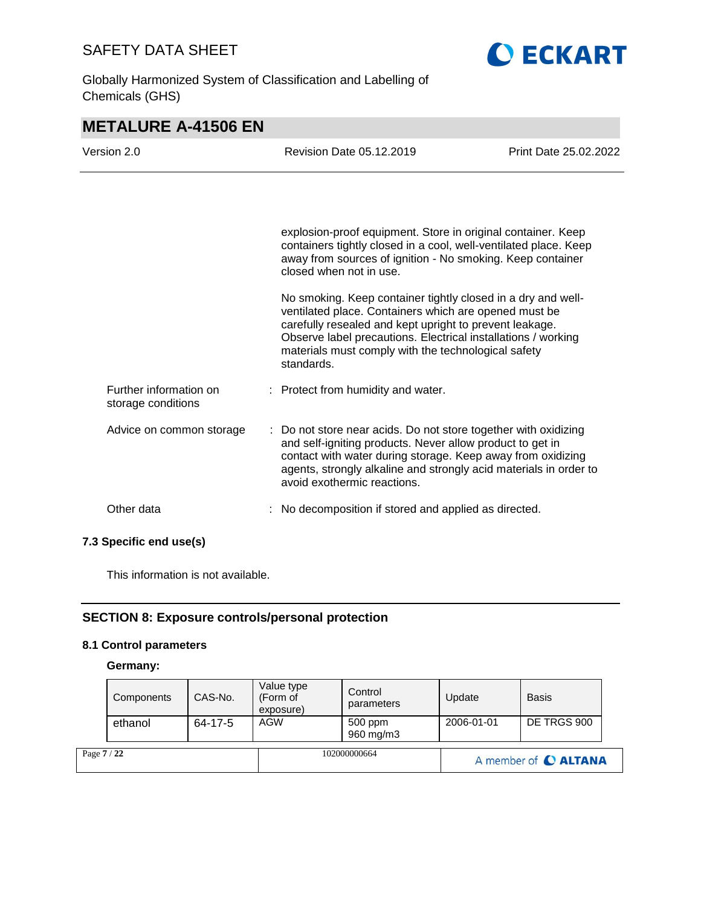**O ECKART** 

Globally Harmonized System of Classification and Labelling of Chemicals (GHS)

| <b>METALURE A-41506 EN</b>                   |                                                                                                                                                                                                                                                                                                                        |                       |
|----------------------------------------------|------------------------------------------------------------------------------------------------------------------------------------------------------------------------------------------------------------------------------------------------------------------------------------------------------------------------|-----------------------|
| Version 2.0                                  | <b>Revision Date 05.12.2019</b>                                                                                                                                                                                                                                                                                        | Print Date 25.02.2022 |
|                                              |                                                                                                                                                                                                                                                                                                                        |                       |
|                                              |                                                                                                                                                                                                                                                                                                                        |                       |
|                                              | explosion-proof equipment. Store in original container. Keep<br>containers tightly closed in a cool, well-ventilated place. Keep<br>away from sources of ignition - No smoking. Keep container<br>closed when not in use.                                                                                              |                       |
|                                              | No smoking. Keep container tightly closed in a dry and well-<br>ventilated place. Containers which are opened must be<br>carefully resealed and kept upright to prevent leakage.<br>Observe label precautions. Electrical installations / working<br>materials must comply with the technological safety<br>standards. |                       |
| Further information on<br>storage conditions | : Protect from humidity and water.                                                                                                                                                                                                                                                                                     |                       |
| Advice on common storage                     | : Do not store near acids. Do not store together with oxidizing<br>and self-igniting products. Never allow product to get in<br>contact with water during storage. Keep away from oxidizing<br>agents, strongly alkaline and strongly acid materials in order to<br>avoid exothermic reactions.                        |                       |
| Other data                                   | No decomposition if stored and applied as directed.                                                                                                                                                                                                                                                                    |                       |
| 7.3 Specific end use(s)                      |                                                                                                                                                                                                                                                                                                                        |                       |

This information is not available.

#### **SECTION 8: Exposure controls/personal protection**

#### **8.1 Control parameters**

#### **Germany:**

| Page 7 / 22 |            |               | 102000000664                        |                       | A member of C ALTANA |              |  |
|-------------|------------|---------------|-------------------------------------|-----------------------|----------------------|--------------|--|
|             | ethanol    | $64 - 17 - 5$ | AGW                                 | 500 ppm<br>960 mg/m3  | 2006-01-01           | DE TRGS 900  |  |
|             | Components | CAS-No.       | Value type<br>(Form of<br>exposure) | Control<br>parameters | Update               | <b>Basis</b> |  |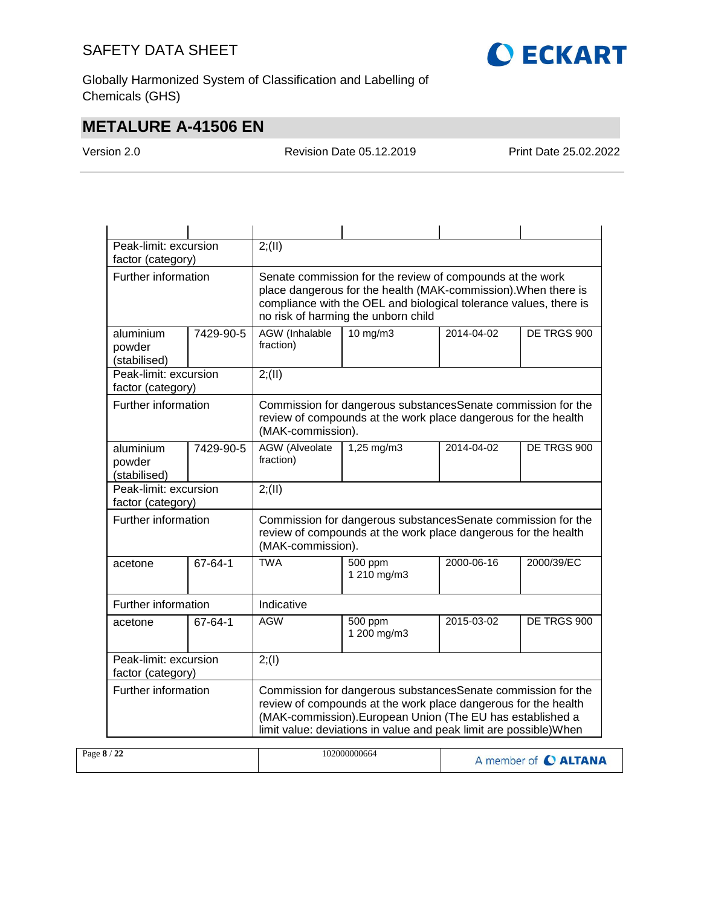

Globally Harmonized System of Classification and Labelling of Chemicals (GHS)

## **METALURE A-41506 EN**

Version 2.0 Revision Date 05.12.2019 Print Date 25.02.2022

|                                            | Peak-limit: excursion                      |                                                                                                                                                                                                                                                                    | 2; (II)                                                                                                                                              |            |             |  |  |
|--------------------------------------------|--------------------------------------------|--------------------------------------------------------------------------------------------------------------------------------------------------------------------------------------------------------------------------------------------------------------------|------------------------------------------------------------------------------------------------------------------------------------------------------|------------|-------------|--|--|
| factor (category)                          |                                            |                                                                                                                                                                                                                                                                    |                                                                                                                                                      |            |             |  |  |
| Further information                        |                                            | Senate commission for the review of compounds at the work<br>place dangerous for the health (MAK-commission). When there is<br>compliance with the OEL and biological tolerance values, there is<br>no risk of harming the unborn child                            |                                                                                                                                                      |            |             |  |  |
| aluminium<br>powder<br>(stabilised)        | 7429-90-5                                  | <b>AGW</b> (Inhalable<br>fraction)                                                                                                                                                                                                                                 | $10 \text{ mg/m}$                                                                                                                                    | 2014-04-02 | DE TRGS 900 |  |  |
| Peak-limit: excursion<br>factor (category) |                                            | 2; (II)                                                                                                                                                                                                                                                            |                                                                                                                                                      |            |             |  |  |
|                                            | Further information                        |                                                                                                                                                                                                                                                                    | Commission for dangerous substances Senate commission for the<br>review of compounds at the work place dangerous for the health<br>(MAK-commission). |            |             |  |  |
| aluminium<br>powder<br>(stabilised)        | 7429-90-5                                  | <b>AGW</b> (Alveolate<br>fraction)                                                                                                                                                                                                                                 | 1,25 mg/m3                                                                                                                                           | 2014-04-02 | DE TRGS 900 |  |  |
| Peak-limit: excursion<br>factor (category) |                                            | 2; (II)                                                                                                                                                                                                                                                            |                                                                                                                                                      |            |             |  |  |
|                                            | Further information                        |                                                                                                                                                                                                                                                                    | Commission for dangerous substancesSenate commission for the<br>review of compounds at the work place dangerous for the health<br>(MAK-commission).  |            |             |  |  |
| acetone                                    | $67 - 64 - 1$                              | <b>TWA</b>                                                                                                                                                                                                                                                         | 500 ppm<br>1 210 mg/m3                                                                                                                               | 2000-06-16 | 2000/39/EC  |  |  |
| Further information                        |                                            | Indicative                                                                                                                                                                                                                                                         |                                                                                                                                                      |            |             |  |  |
| acetone                                    | 67-64-1                                    | <b>AGW</b>                                                                                                                                                                                                                                                         | 500 ppm<br>1 200 mg/m3                                                                                                                               | 2015-03-02 | DE TRGS 900 |  |  |
|                                            | Peak-limit: excursion<br>factor (category) |                                                                                                                                                                                                                                                                    | 2; (1)                                                                                                                                               |            |             |  |  |
| Further information                        |                                            | Commission for dangerous substancesSenate commission for the<br>review of compounds at the work place dangerous for the health<br>(MAK-commission). European Union (The EU has established a<br>limit value: deviations in value and peak limit are possible) When |                                                                                                                                                      |            |             |  |  |

| Page 8 / 22 | 102000000664 | A member of C ALTANA |
|-------------|--------------|----------------------|
|-------------|--------------|----------------------|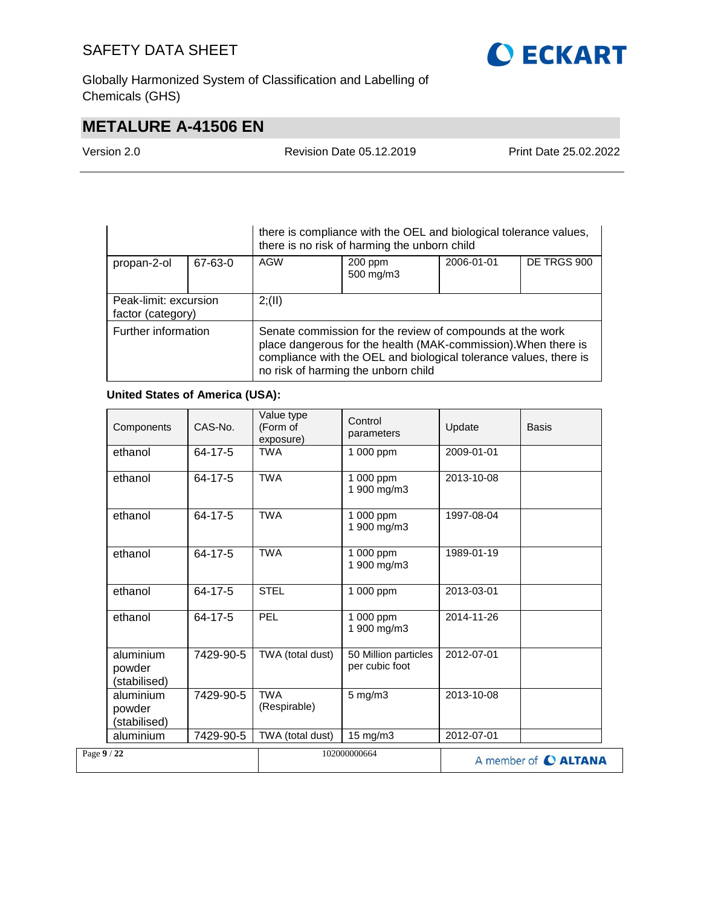

Globally Harmonized System of Classification and Labelling of Chemicals (GHS)

## **METALURE A-41506 EN**

Version 2.0 Revision Date 05.12.2019 Print Date 25.02.2022

| there is compliance with the OEL and biological tolerance values,<br>there is no risk of harming the unborn child |         |                                                                                                                                                                                                                                         |                      |            |             |  |
|-------------------------------------------------------------------------------------------------------------------|---------|-----------------------------------------------------------------------------------------------------------------------------------------------------------------------------------------------------------------------------------------|----------------------|------------|-------------|--|
| propan-2-ol                                                                                                       | 67-63-0 | AGW                                                                                                                                                                                                                                     | 200 ppm<br>500 mg/m3 | 2006-01-01 | DE TRGS 900 |  |
| Peak-limit: excursion<br>factor (category)                                                                        |         | 2; (II)                                                                                                                                                                                                                                 |                      |            |             |  |
| Further information                                                                                               |         | Senate commission for the review of compounds at the work<br>place dangerous for the health (MAK-commission). When there is<br>compliance with the OEL and biological tolerance values, there is<br>no risk of harming the unborn child |                      |            |             |  |

#### **United States of America (USA):**

| Components                          | CAS-No.       | Value type<br>(Form of<br>exposure) | Control<br>parameters                  | Update     | <b>Basis</b>         |
|-------------------------------------|---------------|-------------------------------------|----------------------------------------|------------|----------------------|
| ethanol                             | 64-17-5       | <b>TWA</b>                          | 1 000 ppm                              | 2009-01-01 |                      |
| ethanol                             | 64-17-5       | <b>TWA</b>                          | 1 000 ppm<br>1 900 mg/m3               | 2013-10-08 |                      |
| ethanol                             | $64 - 17 - 5$ | <b>TWA</b>                          | 1 000 ppm<br>1 900 mg/m3               | 1997-08-04 |                      |
| ethanol                             | 64-17-5       | <b>TWA</b>                          | 1 000 ppm<br>1 900 mg/m3               | 1989-01-19 |                      |
| ethanol                             | 64-17-5       | <b>STEL</b>                         | 1 000 ppm                              | 2013-03-01 |                      |
| ethanol                             | 64-17-5       | PEL                                 | 1 000 ppm<br>1 900 mg/m3               | 2014-11-26 |                      |
| aluminium<br>powder<br>(stabilised) | 7429-90-5     | TWA (total dust)                    | 50 Million particles<br>per cubic foot | 2012-07-01 |                      |
| aluminium<br>powder<br>(stabilised) | 7429-90-5     | <b>TWA</b><br>(Respirable)          | $5$ mg/m $3$                           | 2013-10-08 |                      |
| aluminium                           | 7429-90-5     | TWA (total dust)                    | $15 \text{ mg/m}$                      | 2012-07-01 |                      |
| Page 9 / 22                         |               |                                     | 102000000664                           |            | A member of C ALTANA |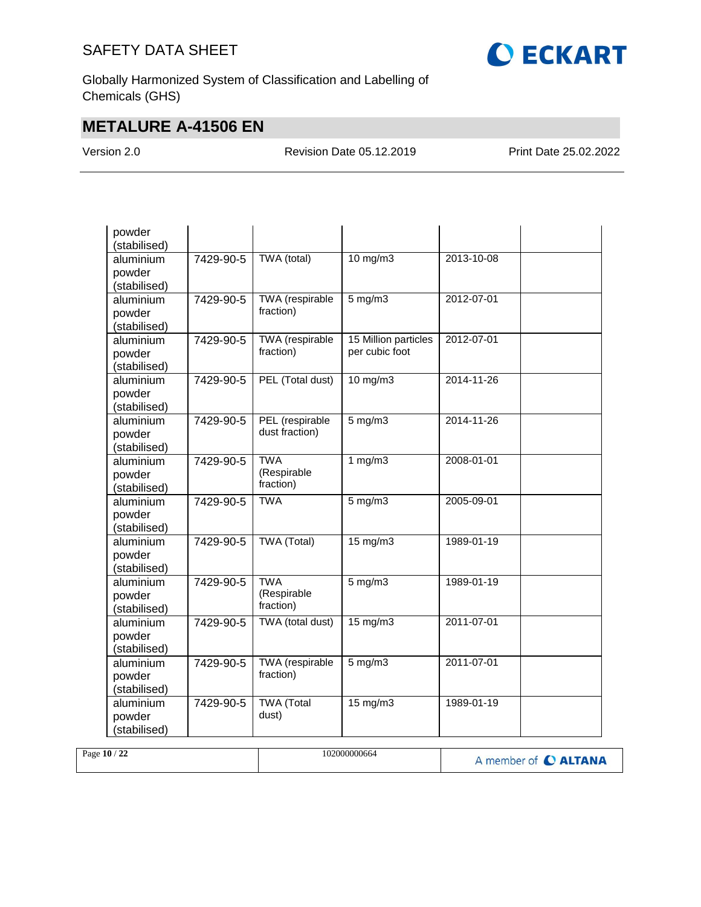

Globally Harmonized System of Classification and Labelling of Chemicals (GHS)

## **METALURE A-41506 EN**

Version 2.0 Revision Date 05.12.2019 Print Date 25.02.2022

| powder<br>(stabilised)              |           |                                        |                                        |            |  |
|-------------------------------------|-----------|----------------------------------------|----------------------------------------|------------|--|
| aluminium<br>powder<br>(stabilised) | 7429-90-5 | TWA (total)                            | $10$ mg/m $3$                          | 2013-10-08 |  |
| aluminium<br>powder<br>(stabilised) | 7429-90-5 | TWA (respirable<br>fraction)           | $5$ mg/m $3$                           | 2012-07-01 |  |
| aluminium<br>powder<br>(stabilised) | 7429-90-5 | <b>TWA</b> (respirable<br>fraction)    | 15 Million particles<br>per cubic foot | 2012-07-01 |  |
| aluminium<br>powder<br>(stabilised) | 7429-90-5 | PEL (Total dust)                       | $10$ mg/m $3$                          | 2014-11-26 |  |
| aluminium<br>powder<br>(stabilised) | 7429-90-5 | PEL (respirable<br>dust fraction)      | $5$ mg/m $3$                           | 2014-11-26 |  |
| aluminium<br>powder<br>(stabilised) | 7429-90-5 | <b>TWA</b><br>(Respirable<br>fraction) | 1 $mg/m3$                              | 2008-01-01 |  |
| aluminium<br>powder<br>(stabilised) | 7429-90-5 | <b>TWA</b>                             | $5$ mg/m $3$                           | 2005-09-01 |  |
| aluminium<br>powder<br>(stabilised) | 7429-90-5 | <b>TWA (Total)</b>                     | $15 \text{ mg/m}$                      | 1989-01-19 |  |
| aluminium<br>powder<br>(stabilised) | 7429-90-5 | <b>TWA</b><br>(Respirable<br>fraction) | $5$ mg/m $3$                           | 1989-01-19 |  |
| aluminium<br>powder<br>(stabilised) | 7429-90-5 | TWA (total dust)                       | 15 mg/m3                               | 2011-07-01 |  |
| aluminium<br>powder<br>(stabilised) | 7429-90-5 | TWA (respirable<br>fraction)           | $5$ mg/m $3$                           | 2011-07-01 |  |
| aluminium<br>powder<br>(stabilised) | 7429-90-5 | <b>TWA</b> (Total<br>dust)             | $15 \text{ mg/m}$                      | 1989-01-19 |  |

| 102000000664<br>Page 10 / 22 |  | A member of C ALTANA |
|------------------------------|--|----------------------|
|------------------------------|--|----------------------|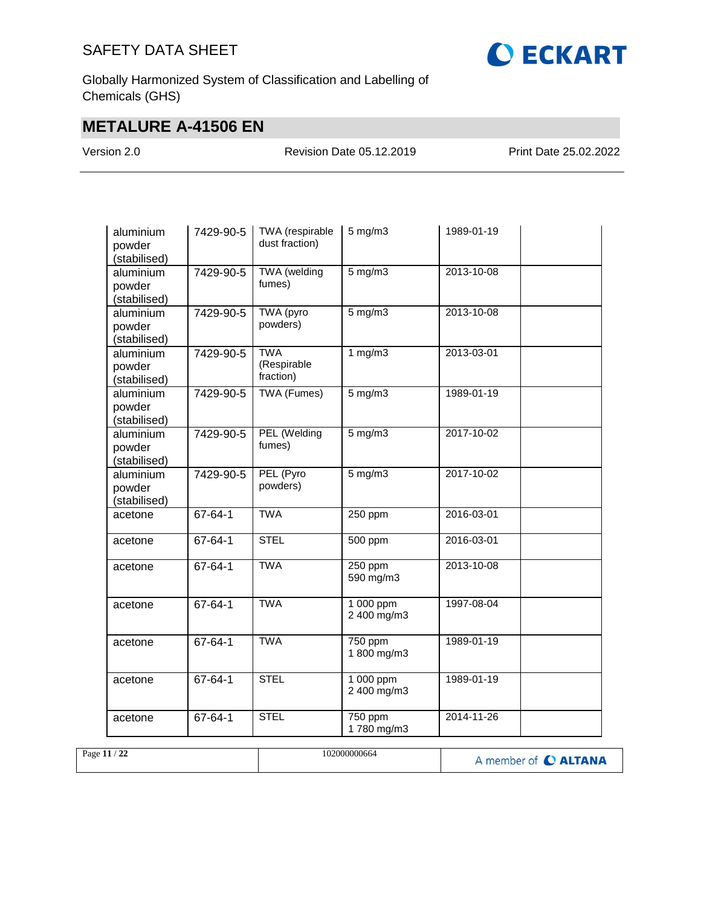

Globally Harmonized System of Classification and Labelling of Chemicals (GHS)

## **METALURE A-41506 EN**

Version 2.0 Revision Date 05.12.2019 Print Date 25.02.2022

| aluminium<br>powder<br>(stabilised) | 7429-90-5     | TWA (respirable<br>dust fraction)      | $5$ mg/m $3$             | 1989-01-19       |  |
|-------------------------------------|---------------|----------------------------------------|--------------------------|------------------|--|
| aluminium<br>powder<br>(stabilised) | 7429-90-5     | TWA (welding<br>fumes)                 | $5$ mg/m $3$             | $2013 - 10 - 08$ |  |
| aluminium<br>powder<br>(stabilised) | 7429-90-5     | TWA (pyro<br>powders)                  | $5$ mg/m $3$             | 2013-10-08       |  |
| aluminium<br>powder<br>(stabilised) | 7429-90-5     | <b>TWA</b><br>(Respirable<br>fraction) | 1 $mg/m3$                | 2013-03-01       |  |
| aluminium<br>powder<br>(stabilised) | 7429-90-5     | TWA (Fumes)                            | $5$ mg/m $3$             | 1989-01-19       |  |
| aluminium<br>powder<br>(stabilised) | 7429-90-5     | PEL (Welding<br>fumes)                 | $5$ mg/m $3$             | 2017-10-02       |  |
| aluminium<br>powder<br>(stabilised) | 7429-90-5     | PEL (Pyro<br>powders)                  | $5$ mg/m $3$             | 2017-10-02       |  |
| acetone                             | 67-64-1       | <b>TWA</b>                             | 250 ppm                  | 2016-03-01       |  |
| acetone                             | $67 - 64 - 1$ | <b>STEL</b>                            | 500 ppm                  | 2016-03-01       |  |
| acetone                             | $67 - 64 - 1$ | <b>TWA</b>                             | 250 ppm<br>590 mg/m3     | 2013-10-08       |  |
| acetone                             | 67-64-1       | <b>TWA</b>                             | 1 000 ppm<br>2 400 mg/m3 | 1997-08-04       |  |
| acetone                             | 67-64-1       | <b>TWA</b>                             | 750 ppm<br>1 800 mg/m3   | 1989-01-19       |  |
| acetone                             | 67-64-1       | <b>STEL</b>                            | 1 000 ppm<br>2 400 mg/m3 | 1989-01-19       |  |
| acetone                             | 67-64-1       | <b>STEL</b>                            | 750 ppm<br>1780 mg/m3    | 2014-11-26       |  |

| Page 11 / 22 | 102000000664 | A member of C ALTANA |
|--------------|--------------|----------------------|
|              |              |                      |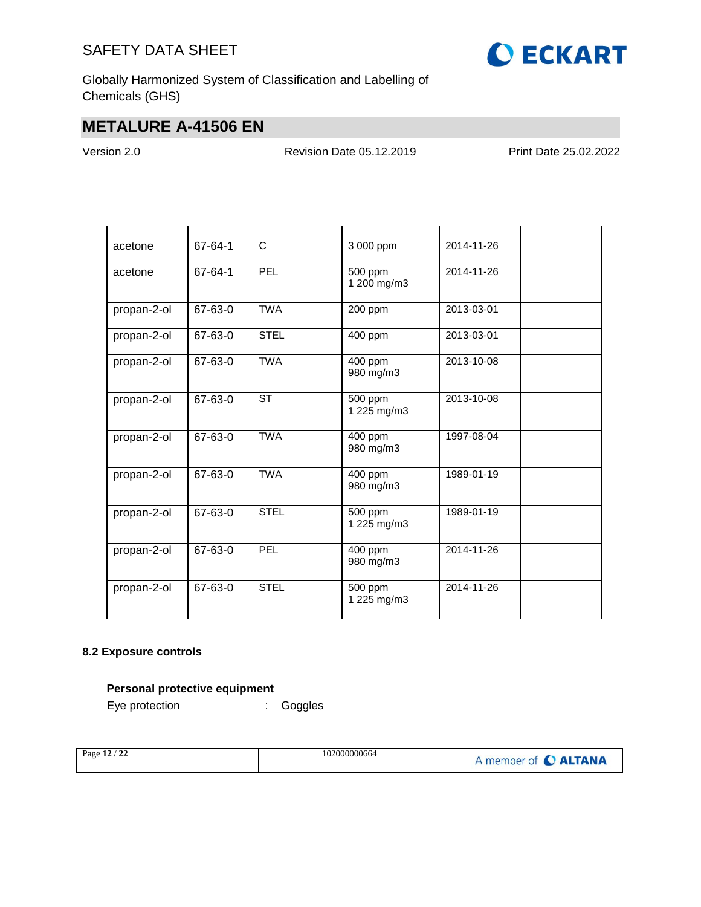

Globally Harmonized System of Classification and Labelling of Chemicals (GHS)

## **METALURE A-41506 EN**

Version 2.0 Revision Date 05.12.2019 Print Date 25.02.2022

| acetone     | 67-64-1 | C           | 3 000 ppm              | 2014-11-26 |  |
|-------------|---------|-------------|------------------------|------------|--|
| acetone     | 67-64-1 | <b>PEL</b>  | 500 ppm<br>1 200 mg/m3 | 2014-11-26 |  |
| propan-2-ol | 67-63-0 | <b>TWA</b>  | 200 ppm                | 2013-03-01 |  |
| propan-2-ol | 67-63-0 | <b>STEL</b> | 400 ppm                | 2013-03-01 |  |
| propan-2-ol | 67-63-0 | <b>TWA</b>  | 400 ppm<br>980 mg/m3   | 2013-10-08 |  |
| propan-2-ol | 67-63-0 | <b>ST</b>   | 500 ppm<br>1 225 mg/m3 | 2013-10-08 |  |
| propan-2-ol | 67-63-0 | <b>TWA</b>  | 400 ppm<br>980 mg/m3   | 1997-08-04 |  |
| propan-2-ol | 67-63-0 | <b>TWA</b>  | 400 ppm<br>980 mg/m3   | 1989-01-19 |  |
| propan-2-ol | 67-63-0 | <b>STEL</b> | 500 ppm<br>1 225 mg/m3 | 1989-01-19 |  |
| propan-2-ol | 67-63-0 | PEL         | 400 ppm<br>980 mg/m3   | 2014-11-26 |  |
| propan-2-ol | 67-63-0 | <b>STEL</b> | 500 ppm<br>1 225 mg/m3 | 2014-11-26 |  |

#### **8.2 Exposure controls**

### **Personal protective equipment**

Eye protection : Goggles

| $^{\prime}$ 22<br>102000000664<br>Page $12/$ . | A member of C ALTANA |
|------------------------------------------------|----------------------|
|------------------------------------------------|----------------------|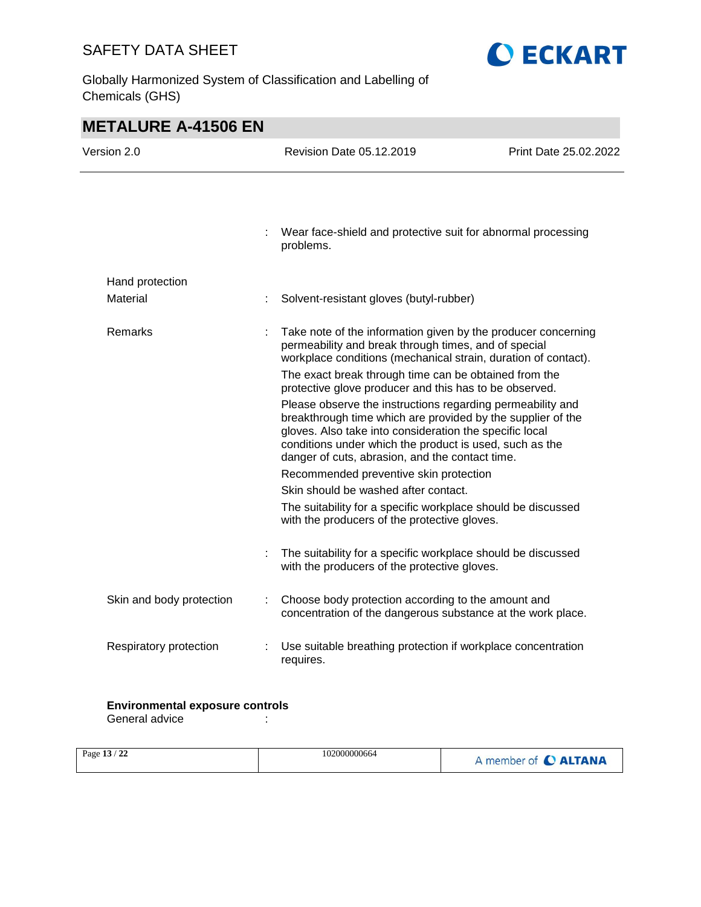Globally Harmonized System of Classification and Labelling of Chemicals (GHS)



**OECKART** 

#### **Environmental exposure controls**

General advice in the set of the set of the set of the set of the set of the set of the set of the set of the s

| Page 13 / 22 | 102000000664 | A member of C ALTANA |
|--------------|--------------|----------------------|
|              |              |                      |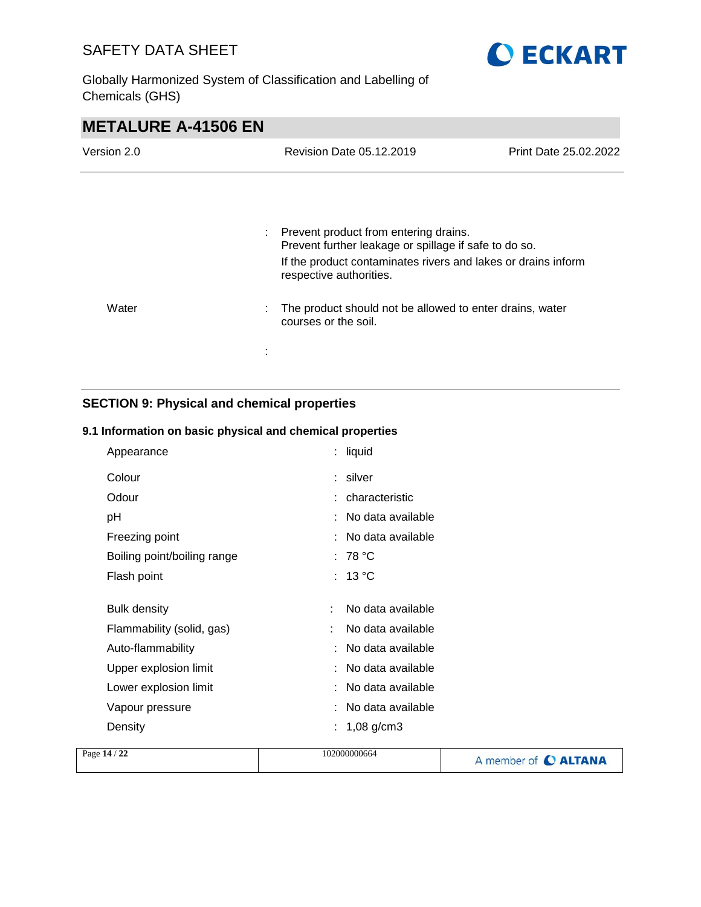

Globally Harmonized System of Classification and Labelling of Chemicals (GHS)

| <b>METALURE A-41506 EN</b> |                                                                                                                                                                                            |                       |  |
|----------------------------|--------------------------------------------------------------------------------------------------------------------------------------------------------------------------------------------|-----------------------|--|
| Version 2.0                | Revision Date 05.12.2019                                                                                                                                                                   | Print Date 25.02.2022 |  |
|                            |                                                                                                                                                                                            |                       |  |
|                            | Prevent product from entering drains.<br>Prevent further leakage or spillage if safe to do so.<br>If the product contaminates rivers and lakes or drains inform<br>respective authorities. |                       |  |
| Water                      | The product should not be allowed to enter drains, water<br>courses or the soil.                                                                                                           |                       |  |
|                            |                                                                                                                                                                                            |                       |  |

### **SECTION 9: Physical and chemical properties**

#### **9.1 Information on basic physical and chemical properties**

| Appearance                  |   | : liquid            |
|-----------------------------|---|---------------------|
| Colour                      |   | : silver            |
| Odour                       |   | : characteristic    |
| рH                          |   | : No data available |
| Freezing point              |   | : No data available |
| Boiling point/boiling range |   | : 78 $^{\circ}$ C   |
| Flash point                 |   | : 13 $^{\circ}$ C   |
|                             |   |                     |
| <b>Bulk density</b>         |   | No data available   |
| Flammability (solid, gas)   |   | No data available   |
| Auto-flammability           |   | : No data available |
| Upper explosion limit       |   | : No data available |
| Lower explosion limit       |   | : No data available |
| Vapour pressure             |   | : No data available |
| Density                     | ÷ | $1,08$ g/cm3        |
|                             |   |                     |

| Page 14 / 22 | 102000000664 | A member of C ALTANA |
|--------------|--------------|----------------------|
|              |              |                      |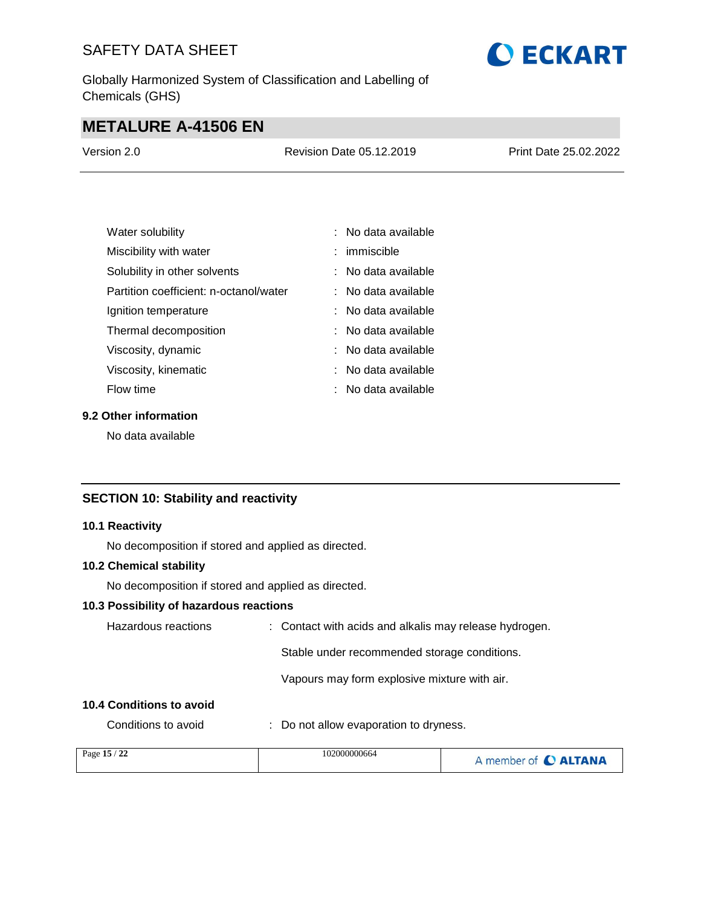Globally Harmonized System of Classification and Labelling of Chemicals (GHS)

# **O ECKART**

## **METALURE A-41506 EN**

| Version 2.0 | <b>Revision Date 05.12.2019</b> | Print Date 25.02.2022 |
|-------------|---------------------------------|-----------------------|
|             |                                 |                       |

| Water solubility                       | : No data available   |
|----------------------------------------|-----------------------|
| Miscibility with water                 | $:$ immiscible        |
| Solubility in other solvents           | : No data available   |
| Partition coefficient: n-octanol/water | ∶ No data available   |
| Ignition temperature                   | : No data available   |
| Thermal decomposition                  | : No data available   |
| Viscosity, dynamic                     | $:$ No data available |
| Viscosity, kinematic                   | : No data available   |
| Flow time                              | : No data available   |

#### **9.2 Other information**

No data available

#### **SECTION 10: Stability and reactivity**

#### **10.1 Reactivity**

No decomposition if stored and applied as directed.

#### **10.2 Chemical stability**

No decomposition if stored and applied as directed.

#### **10.3 Possibility of hazardous reactions**

| Hazardous reactions      | : Contact with acids and alkalis may release hydrogen. |
|--------------------------|--------------------------------------------------------|
|                          | Stable under recommended storage conditions.           |
|                          | Vapours may form explosive mixture with air.           |
| 10.4 Conditions to avoid |                                                        |

Conditions to avoid : Do not allow evaporation to dryness.

| Page 15 / 22 | 102000000664 | A member of C ALTANA |
|--------------|--------------|----------------------|
|              |              |                      |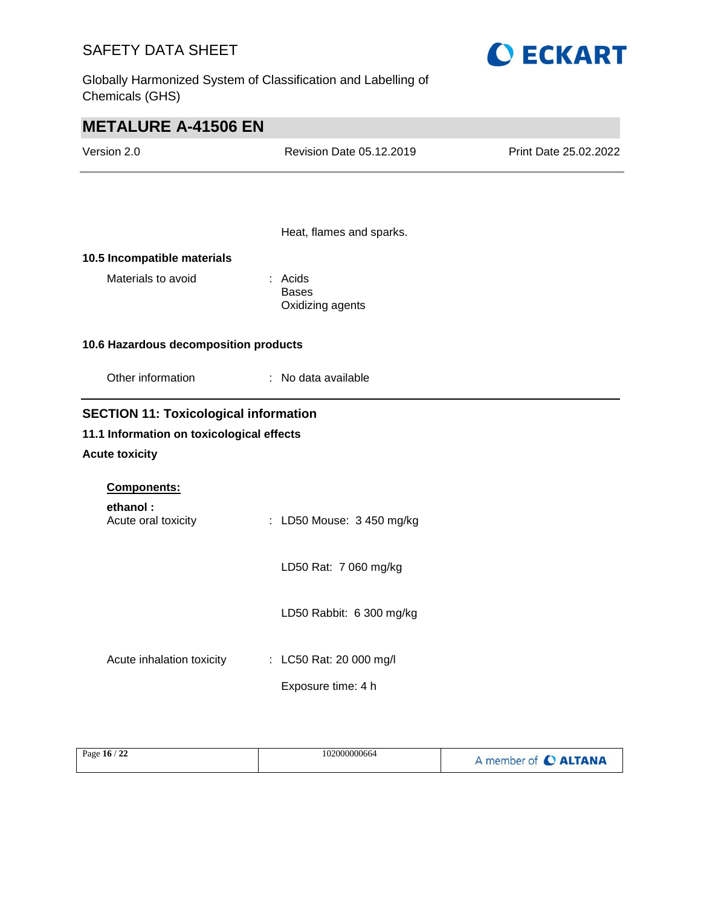Globally Harmonized System of Classification and Labelling of Chemicals (GHS)



| <b>METALURE A-41506 EN</b>                   |                                             |                       |  |  |  |
|----------------------------------------------|---------------------------------------------|-----------------------|--|--|--|
| Version 2.0                                  | Revision Date 05.12.2019                    | Print Date 25.02.2022 |  |  |  |
|                                              |                                             |                       |  |  |  |
|                                              | Heat, flames and sparks.                    |                       |  |  |  |
| 10.5 Incompatible materials                  |                                             |                       |  |  |  |
| Materials to avoid                           | : Acids<br><b>Bases</b><br>Oxidizing agents |                       |  |  |  |
| 10.6 Hazardous decomposition products        |                                             |                       |  |  |  |
| Other information                            | : No data available                         |                       |  |  |  |
| <b>SECTION 11: Toxicological information</b> |                                             |                       |  |  |  |
| 11.1 Information on toxicological effects    |                                             |                       |  |  |  |
| <b>Acute toxicity</b>                        |                                             |                       |  |  |  |
| Components:                                  |                                             |                       |  |  |  |
| ethanol:<br>Acute oral toxicity              | : LD50 Mouse: 3 450 mg/kg                   |                       |  |  |  |
|                                              | LD50 Rat: 7 060 mg/kg                       |                       |  |  |  |
|                                              | LD50 Rabbit: 6 300 mg/kg                    |                       |  |  |  |
| Acute inhalation toxicity                    | : LC50 Rat: 20 000 mg/l                     |                       |  |  |  |
|                                              | Exposure time: 4 h                          |                       |  |  |  |

| 122<br>102000000664<br>Page $16/$<br>A member of C ALTANA |  |
|-----------------------------------------------------------|--|
|-----------------------------------------------------------|--|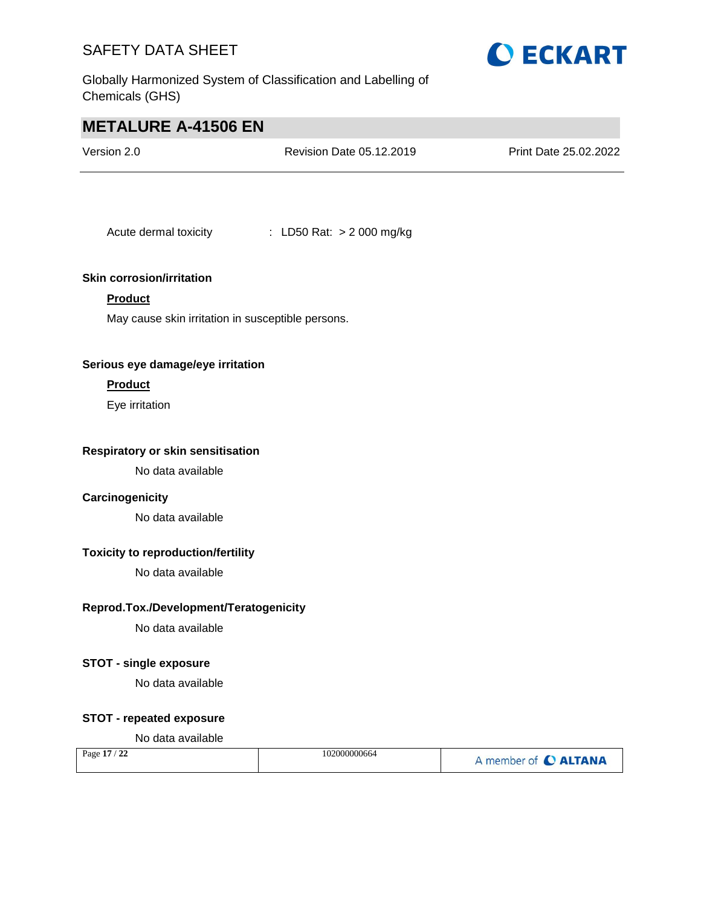

Globally Harmonized System of Classification and Labelling of Chemicals (GHS)

## **METALURE A-41506 EN**

| Version 2.0 | Revision Date 05.12.2019 | <b>Print Date 25.02.2022</b> |
|-------------|--------------------------|------------------------------|
|             |                          |                              |

Acute dermal toxicity : LD50 Rat: > 2 000 mg/kg

#### **Skin corrosion/irritation**

#### **Product**

May cause skin irritation in susceptible persons.

#### **Serious eye damage/eye irritation**

#### **Product**

Eye irritation

#### **Respiratory or skin sensitisation**

No data available

#### **Carcinogenicity**

No data available

#### **Toxicity to reproduction/fertility**

No data available

#### **Reprod.Tox./Development/Teratogenicity**

No data available

#### **STOT - single exposure**

No data available

#### **STOT - repeated exposure**

#### No data available

| Page 17 / 22 | 102000000664 | A member of C ALTANA |
|--------------|--------------|----------------------|
|--------------|--------------|----------------------|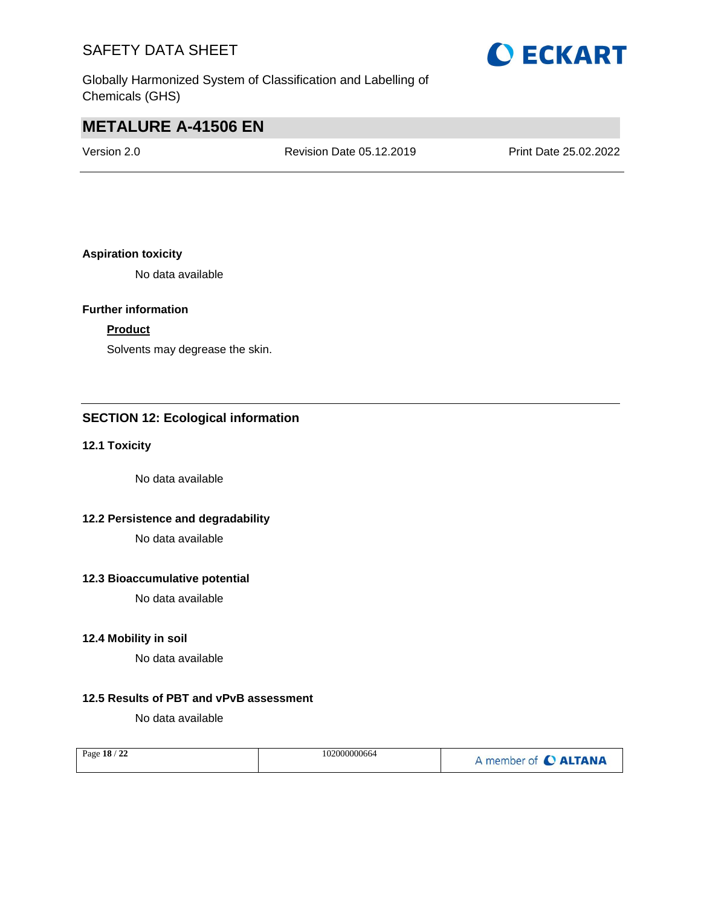Globally Harmonized System of Classification and Labelling of Chemicals (GHS)

## **O ECKART**

## **METALURE A-41506 EN**

Version 2.0 Revision Date 05.12.2019 Print Date 25.02.2022

#### **Aspiration toxicity**

No data available

#### **Further information**

#### **Product**

Solvents may degrease the skin.

#### **SECTION 12: Ecological information**

#### **12.1 Toxicity**

No data available

#### **12.2 Persistence and degradability**

No data available

#### **12.3 Bioaccumulative potential**

No data available

#### **12.4 Mobility in soil**

No data available

#### **12.5 Results of PBT and vPvB assessment**

No data available

| Page 18 / 22 | 102000000664 | A member of C ALTANA |
|--------------|--------------|----------------------|
|              |              |                      |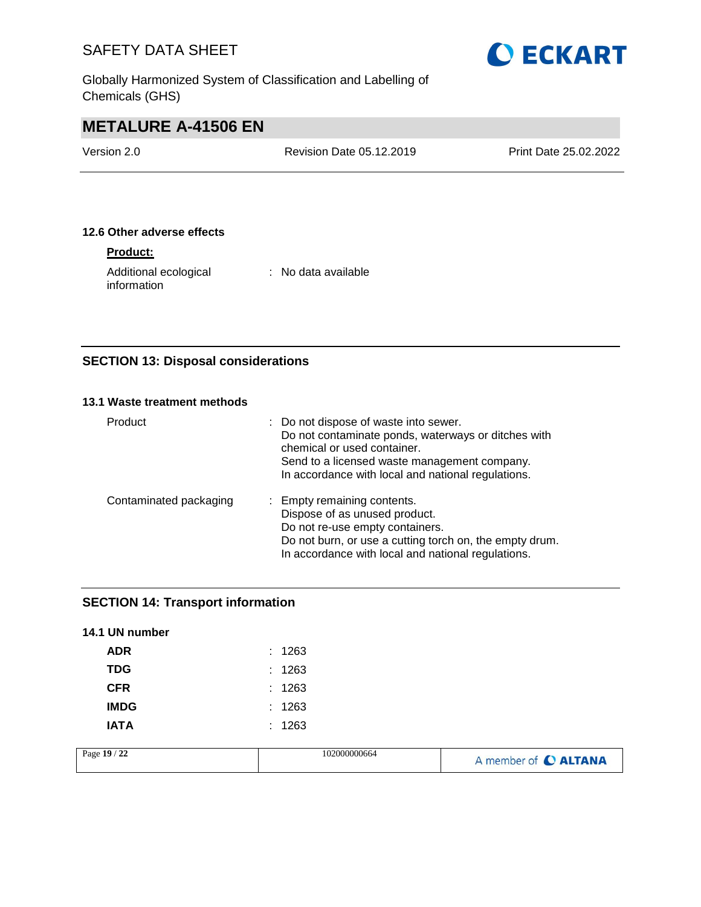Globally Harmonized System of Classification and Labelling of Chemicals (GHS)



## **METALURE A-41506 EN**

| Version 2.0 | Revision Date 05.12.2019 | Print Date 25.02.2022 |
|-------------|--------------------------|-----------------------|
|             |                          |                       |

#### **12.6 Other adverse effects**

#### **Product:**

Additional ecological information

: No data available

### **SECTION 13: Disposal considerations**

#### **13.1 Waste treatment methods**

| Product                | : Do not dispose of waste into sewer.<br>Do not contaminate ponds, waterways or ditches with<br>chemical or used container.<br>Send to a licensed waste management company.<br>In accordance with local and national regulations. |
|------------------------|-----------------------------------------------------------------------------------------------------------------------------------------------------------------------------------------------------------------------------------|
| Contaminated packaging | : Empty remaining contents.<br>Dispose of as unused product.<br>Do not re-use empty containers.<br>Do not burn, or use a cutting torch on, the empty drum.<br>In accordance with local and national regulations.                  |

#### **SECTION 14: Transport information**

| 14.1 UN number |        |
|----------------|--------|
| ADR            | : 1263 |
| <b>TDG</b>     | : 1263 |
| <b>CFR</b>     | : 1263 |
| <b>IMDG</b>    | : 1263 |
| IATA           | : 1263 |

| 22<br>Page 19 /<br>102000000664 | member of C ALTANA |
|---------------------------------|--------------------|
|---------------------------------|--------------------|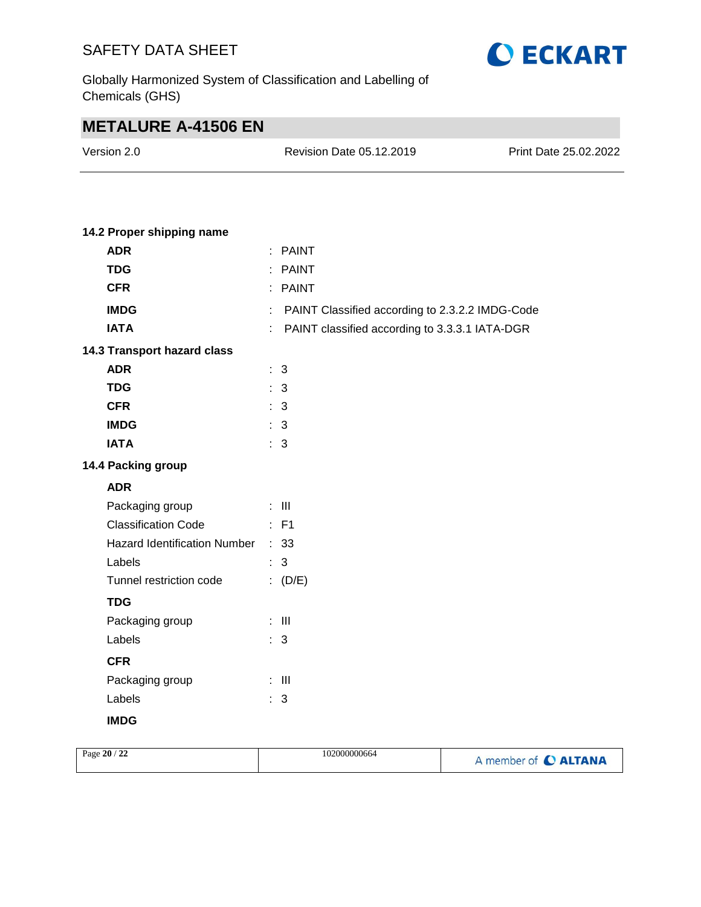

Globally Harmonized System of Classification and Labelling of Chemicals (GHS)

## **METALURE A-41506 EN**

| Version 2.0 | Revision Date 05.12.2019 | Print Date 25.02.2022 |
|-------------|--------------------------|-----------------------|
|             |                          |                       |

#### **14.2 Proper shipping name**

| <b>ADR</b>                        | ÷  | <b>PAINT</b>                                    |
|-----------------------------------|----|-------------------------------------------------|
| <b>TDG</b>                        |    | <b>PAINT</b>                                    |
| <b>CFR</b>                        |    | : PAINT                                         |
| <b>IMDG</b>                       | ÷. | PAINT Classified according to 2.3.2.2 IMDG-Code |
| <b>IATA</b>                       | ÷  | PAINT classified according to 3.3.3.1 IATA-DGR  |
| 14.3 Transport hazard class       |    |                                                 |
| <b>ADR</b>                        |    | : 3                                             |
| <b>TDG</b>                        |    | : 3                                             |
| <b>CFR</b>                        |    | : 3                                             |
| <b>IMDG</b>                       |    | : 3                                             |
| <b>IATA</b>                       |    | : 3                                             |
| 14.4 Packing group                |    |                                                 |
| <b>ADR</b>                        |    |                                                 |
| Packaging group                   |    | $\div$ III                                      |
| <b>Classification Code</b>        |    | $\therefore$ F1                                 |
| Hazard Identification Number : 33 |    |                                                 |
| Labels                            |    | : 3                                             |
| Tunnel restriction code           |    | (D/E)                                           |
| <b>TDG</b>                        |    |                                                 |
| Packaging group                   |    | $\pm$ 111                                       |
| Labels                            |    | : 3                                             |
| <b>CFR</b>                        |    |                                                 |
| Packaging group                   |    | $\therefore$ III                                |
| Labels                            |    | $\therefore$ 3                                  |
| <b>IMDG</b>                       |    |                                                 |

| Page 20 / 22 | 102000000664 | A member of C ALTANA |
|--------------|--------------|----------------------|
|              |              |                      |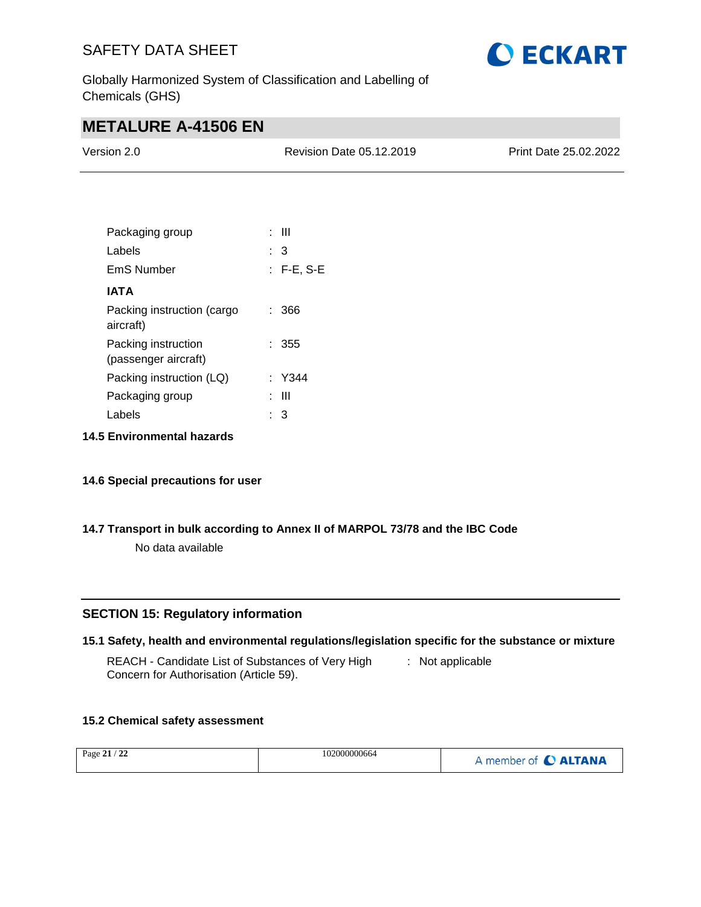

Globally Harmonized System of Classification and Labelling of Chemicals (GHS)

## **METALURE A-41506 EN**

| Version 2.0 | Revision Date 05.12.2019 | <b>Print Date 25.02.2022</b> |
|-------------|--------------------------|------------------------------|
|             |                          |                              |

| Packaging group                             | : III        |
|---------------------------------------------|--------------|
| Labels                                      | : 3          |
| EmS Number                                  | $: F-E, S-E$ |
| IATA                                        |              |
| Packing instruction (cargo<br>aircraft)     | : 366        |
| Packing instruction<br>(passenger aircraft) | : 355        |
| Packing instruction (LQ)                    | : Y344       |
| Packaging group                             | Ш            |
| Labels                                      | 3            |

**14.5 Environmental hazards**

#### **14.6 Special precautions for user**

#### **14.7 Transport in bulk according to Annex II of MARPOL 73/78 and the IBC Code**

No data available

#### **SECTION 15: Regulatory information**

#### **15.1 Safety, health and environmental regulations/legislation specific for the substance or mixture**

REACH - Candidate List of Substances of Very High Concern for Authorisation (Article 59). : Not applicable

#### **15.2 Chemical safety assessment**

| $\sim$<br>Page $21/$<br>-44 | 102000000664 | $\overline{ }$<br><b>ALTANA</b><br>member of |
|-----------------------------|--------------|----------------------------------------------|
|-----------------------------|--------------|----------------------------------------------|